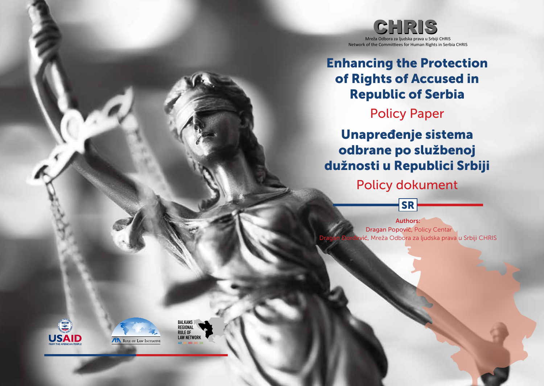

# Enhancing the Protection of Rights of Accused in Republic of Serbia

## Policy Paper

Unapređenje sistema odbrane po službenoj dužnosti u Republici Srbiji

Policy dokument

SR

**Authors:** Dragan Popović, Policy Centar vić, Mreža Odbora za ljudska prava u Srbiji CHRIS





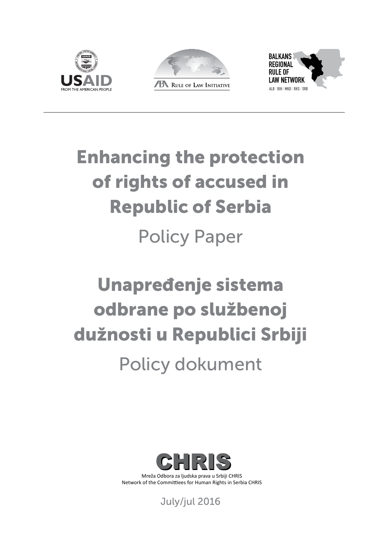





# Enhancing the protection of rights of accused in Republic of Serbia Policy Paper

# Unapređenje sistema odbrane po službenoj dužnosti u Republici Srbiji

Policy dokument



Mreža Odbora za ljudska prava u Srbiji CHRIS Network of the Committiees for Human Rights in Serbia CHRIS

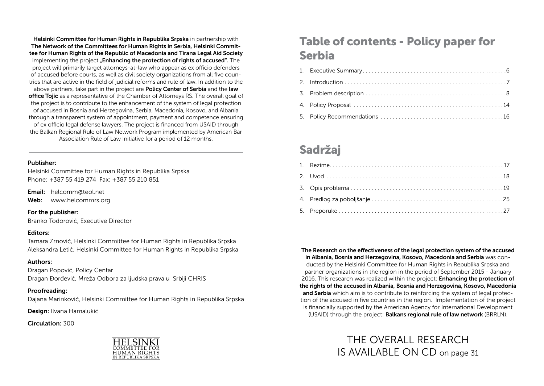Helsinki Committee for Human Rights in Republika Srpska in partnership with The Network of the Committees for Human Rights in Serbia, Helsinki Committee for Human Rights of the Republic of Macedonia and Tirana Legal Aid Society implementing the project **"Enhancing the protection of rights of accused**". The project will primarily target attorneys-at-law who appear as ex officio defenders of accused before courts, as well as civil society organizations from all five countries that are active in the field of judicial reforms and rule of law. In addition to the above partners, take part in the project are **Policy Center of Serbia** and the **law** office Tojic as a representative of the Chamber of Attorneys RS. The overall goal of the project is to contribute to the enhancement of the system of legal protection of accused in Bosnia and Herzegovina, Serbia, Macedonia, Kosovo, and Albania through a transparent system of appointment, payment and competence ensuring of ex officio legal defense lawyers. The project is financed from USAID through the Balkan Regional Rule of Law Network Program implemented by American Bar Association Rule of Law Initiative for a period of 12 months.

#### Publisher:

Helsinki Committee for Human Rights in Republika Srpska Phone: +387 55 419 274 Fax: +387 55 210 851

Email: helcomm@teol.net

Web: www.helcommrs.org

#### For the publisher:

Branko Todorović, Executive Director

#### Editors:

Tamara Zrnović, Helsinki Committee for Human Rights in Republika Srpska Aleksandra Letić, Helsinki Committee for Human Rights in Republika Srpska

#### Authors:

Dragan Popović, Policy Centar Dragan Đorđević, Mreža Odbora za ljudska prava u Srbiji CHRIS

#### Proofreading:

Dajana Marinković, Helsinki Committee for Human Rights in Republika Srpska

Design: Ilvana Hamalukić

Circulation: 300



## Table of contents - Policy paper for Serbia

## Sadržaj

The Research on the effectiveness of the legal protection system of the accused in Albania, Bosnia and Herzegovina, Kosovo, Macedonia and Serbia was conducted by the Helsinki Committee for Human Rights in Republika Srpska and partner organizations in the region in the period of September 2015 - January 2016. This research was realized within the project: **Enhancing the protection of** the rights of the accused in Albania, Bosnia and Herzegovina, Kosovo, Macedonia and Serbia which aim is to contribute to reinforcing the system of legal protection of the accused in five countries in the region. Implementation of the project is financially supported by the American Agency for International Development (USAID) through the project: Balkans regional rule of law network (BRRLN).

> THE OVERALL RESEARCH IS AVAILABLE ON CD on page 31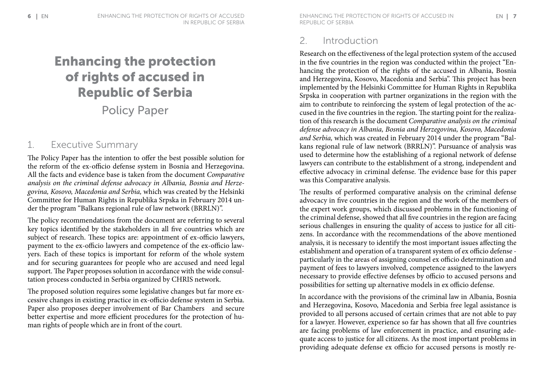# Enhancing the protection of rights of accused in Republic of Serbia

Policy Paper

### 1. Executive Summary

The Policy Paper has the intention to offer the best possible solution for the reform of the ex-officio defense system in Bosnia and Herzegovina. All the facts and evidence base is taken from the document *Comparative analysis on the criminal defense advocacy in Albania, Bosnia and Herzegovina, Kosovo, Macedonia and Serbia,* which was created by the Helsinki Committee for Human Rights in Republika Srpska in February 2014 under the program "Balkans regional rule of law network (BRRLN)".

The policy recommendations from the document are referring to several key topics identified by the stakeholders in all five countries which are subject of research. These topics are: appointment of ex-officio lawyers, payment to the ex-officio lawyers and competence of the ex-officio lawyers. Each of these topics is important for reform of the whole system and for securing guarantees for people who are accused and need legal support. The Paper proposes solution in accordance with the wide consultation process conducted in Serbia organized by CHRIS network.

The proposed solution requires some legislative changes but far more excessive changes in existing practice in ex-officio defense system in Serbia. Paper also proposes deeper involvement of Bar Chambers and secure better expertise and more efficient procedures for the protection of human rights of people which are in front of the court.

 $\blacksquare$  Enhancing the protection of rights of accused in  $\blacksquare$  and  $\blacksquare$  and  $\blacksquare$  and  $\blacksquare$  and  $\blacksquare$  and  $\blacksquare$  and  $\blacksquare$  and  $\blacksquare$  and  $\blacksquare$  and  $\blacksquare$  and  $\blacksquare$  and  $\blacksquare$  and  $\blacksquare$  and  $\blacksquare$  and  $\blacksquare$  and Republic of Serbia

#### 2. Introduction

Research on the effectiveness of the legal protection system of the accused in the five countries in the region was conducted within the project "Enhancing the protection of the rights of the accused in Albania, Bosnia and Herzegovina, Kosovo, Macedonia and Serbia". This project has been implemented by the Helsinki Committee for Human Rights in Republika Srpska in cooperation with partner organizations in the region with the aim to contribute to reinforcing the system of legal protection of the accused in the five countries in the region. The starting point for the realization of this research is the document *Comparative analysis on the criminal defense advocacy in Albania, Bosnia and Herzegovina, Kosovo, Macedonia and Serbia,* which was created in February 2014 under the program "Balkans regional rule of law network (BRRLN)". Pursuance of analysis was used to determine how the establishing of a regional network of defense lawyers can contribute to the establishment of a strong, independent and effective advocacy in criminal defense. The evidence base for this paper was this Comparative analysis.

The results of performed comparative analysis on the criminal defense advocacy in five countries in the region and the work of the members of the expert work groups, which discussed problems in the functioning of the criminal defense, showed that all five countries in the region are facing serious challenges in ensuring the quality of access to justice for all citizens. In accordance with the recommendations of the above mentioned analysis, it is necessary to identify the most important issues affecting the establishment and operation of a transparent system of ex officio defense particularly in the areas of assigning counsel ex officio determination and payment of fees to lawyers involved, competence assigned to the lawyers necessary to provide effective defenses by officio to accused persons and possibilities for setting up alternative models in ex officio defense.

In accordance with the provisions of the criminal law in Albania, Bosnia and Herzegovina, Kosovo, Macedonia and Serbia free legal assistance is provided to all persons accused of certain crimes that are not able to pay for a lawyer. However, experience so far has shown that all five countries are facing problems of law enforcement in practice, and ensuring adequate access to justice for all citizens. As the most important problems in providing adequate defense ex officio for accused persons is mostly re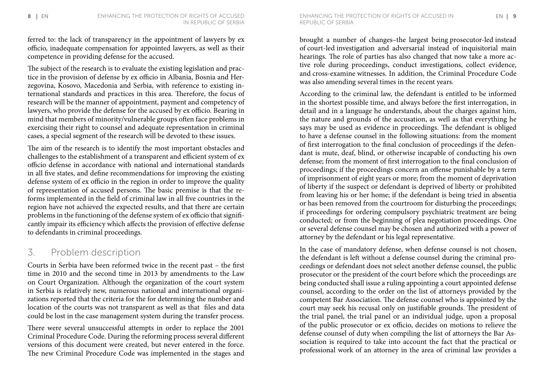ferred to: the lack of transparency in the appointment of lawyers by ex officio, inadequate compensation for appointed lawyers, as well as their competence in providing defense for the accused.

The subject of the research is to evaluate the existing legislation and practice in the provision of defense by ex officio in Albania, Bosnia and Herzegovina, Kosovo, Macedonia and Serbia, with reference to existing international standards and practices in this area. Therefore, the focus of research will be the manner of appointment, payment and competency of lawyers, who provide the defense for the accused by ex officio. Bearing in mind that members of minority/vulnerable groups often face problems in exercising their right to counsel and adequate representation in criminal cases, a special segment of the research will be devoted to these issues.

The aim of the research is to identify the most important obstacles and challenges to the establishment of a transparent and efficient system of ex officio defense in accordance with national and international standards in all five states, and define recommendations for improving the existing defense system of ex officio in the region in order to improve the quality of representation of accused persons. The basic premise is that the reforms implemented in the field of criminal law in all five countries in the region have not achieved the expected results, and that there are certain problems in the functioning of the defense system of ex officio that significantly impair its efficiency which affects the provision of effective defense to defendants in criminal proceedings.

#### 3. Problem description

Courts in Serbia have been reformed twice in the recent past – the first time in 2010 and the second time in 2013 by amendments to the Law on Court Organization. Although the organization of the court system in Serbia is relatively new, numerous national and international organizations reported that the criteria for the for determining the number and location of the courts was not transparent as well as that files and data could be lost in the case management system during the transfer process.

There were several unsuccessful attempts in order to replace the 2001 Criminal Procedure Code. During the reforming process several different versions of this document were created, but never entered in the force. The new Criminal Procedure Code was implemented in the stages and

8 Enhancing the protection of rights of accused in 9 EN EN Republic of Serbia

> brought a number of changes–the largest being prosecutor-led instead of court-led investigation and adversarial instead of inquisitorial main hearings. The role of parties has also changed that now take a more active role during proceedings, conduct investigations, collect evidence, and cross-examine witnesses. In addition, the Criminal Procedure Code was also amending several times in the recent years.

> According to the criminal law, the defendant is entitled to be informed in the shortest possible time, and always before the first interrogation, in detail and in a language he understands, about the charges against him, the nature and grounds of the accusation, as well as that everything he says may be used as evidence in proceedings. The defendant is obliged to have a defense counsel in the following situations: from the moment of first interrogation to the final conclusion of proceedings if the defendant is mute, deaf, blind, or otherwise incapable of conducting his own defense; from the moment of first interrogation to the final conclusion of proceedings; if the proceedings concern an offense punishable by a term of imprisonment of eight years or more; from the moment of deprivation of liberty if the suspect or defendant is deprived of liberty or prohibited from leaving his or her home; if the defendant is being tried in absentia or has been removed from the courtroom for disturbing the proceedings; if proceedings for ordering compulsory psychiatric treatment are being conducted; or from the beginning of plea negotiation proceedings. One or several defense counsel may be chosen and authorized with a power of attorney by the defendant or his legal representative.

> In the case of mandatory defense, when defense counsel is not chosen, the defendant is left without a defense counsel during the criminal proceedings or defendant does not select another defense counsel, the public prosecutor or the president of the court before which the proceedings are being conducted shall issue a ruling appointing a court appointed defense counsel, according to the order on the list of attorneys provided by the competent Bar Association. The defense counsel who is appointed by the court may seek his recusal only on justifiable grounds. The president of the trial panel, the trial panel or an individual judge, upon a proposal of the public prosecutor or ex officio, decides on motions to relieve the defense counsel of duty when compiling the list of attorneys the Bar Association is required to take into account the fact that the practical or professional work of an attorney in the area of criminal law provides a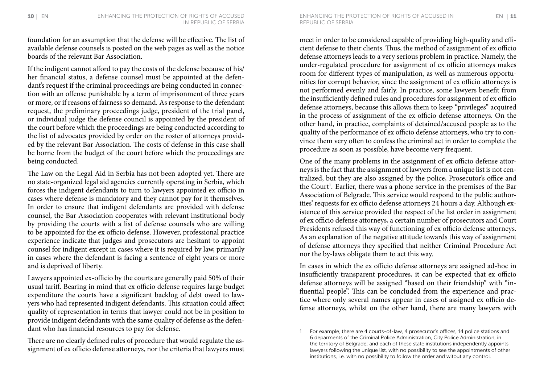foundation for an assumption that the defense will be effective. The list of available defense counsels is posted on the web pages as well as the notice boards of the relevant Bar Association.

If the indigent cannot afford to pay the costs of the defense because of his/ her financial status, a defense counsel must be appointed at the defendant's request if the criminal proceedings are being conducted in connection with an offense punishable by a term of imprisonment of three years or more, or if reasons of fairness so demand. As response to the defendant request, the preliminary proceedings judge, president of the trial panel, or individual judge the defense council is appointed by the president of the court before which the proceedings are being conducted according to the list of advocates provided by order on the roster of attorneys provided by the relevant Bar Association. The costs of defense in this case shall be borne from the budget of the court before which the proceedings are being conducted.

The Law on the Legal Aid in Serbia has not been adopted yet. There are no state-organized legal aid agencies currently operating in Serbia, which forces the indigent defendants to turn to lawyers appointed ex officio in cases where defense is mandatory and they cannot pay for it themselves. In order to ensure that indigent defendants are provided with defense counsel, the Bar Association cooperates with relevant institutional body by providing the courts with a list of defense counsels who are willing to be appointed for the ex officio defense. However, professional practice experience indicate that judges and prosecutors are hesitant to appoint counsel for indigent except in cases where it is required by law, primarily in cases where the defendant is facing a sentence of eight years or more and is deprived of liberty.

Lawyers appointed ex-officio by the courts are generally paid 50% of their usual tariff. Bearing in mind that ex officio defense requires large budget expenditure the courts have a significant backlog of debt owed to lawyers who had represented indigent defendants. This situation could affect quality of representation in terms that lawyer could not be in position to provide indigent defendants with the same quality of defense as the defendant who has financial resources to pay for defense.

There are no clearly defined rules of procedure that would regulate the assignment of ex officio defense attorneys, nor the criteria that lawyers must meet in order to be considered capable of providing high-quality and efficient defense to their clients. Thus, the method of assignment of ex officio defense attorneys leads to a very serious problem in practice. Namely, the under-regulated procedure for assignment of ex officio attorneys makes room for different types of manipulation, as well as numerous opportunities for corrupt behavior, since the assignment of ex officio attorneys is not performed evenly and fairly. In practice, some lawyers benefit from the insufficiently defined rules and procedures for assignment of ex officio defense attorneys, because this allows them to keep "privileges" acquired in the process of assignment of the ex officio defense attorneys. On the other hand, in practice, complaints of detained/accused people as to the quality of the performance of ex officio defense attorneys, who try to convince them very often to confess the criminal act in order to complete the procedure as soon as possible, have become very frequent.

One of the many problems in the assignment of ex officio defense attorneys is the fact that the assignment of lawyers from a unique list is not centralized, but they are also assigned by the police, Prosecutor's office and the Court<sup>1</sup>. Earlier, there was a phone service in the premises of the Bar Association of Belgrade. This service would respond to the public authorities' requests for ex officio defense attorneys 24 hours a day. Although existence of this service provided the respect of the list order in assignment of ex officio defense attorneys, a certain number of prosecutors and Court Presidents refused this way of functioning of ex officio defense attorneys. As an explanation of the negative attitude towards this way of assignment of defense attorneys they specified that neither Criminal Procedure Act nor the by-laws obligate them to act this way.

In cases in which the ex officio defense attorneys are assigned ad-hoc in insufficiently transparent procedures, it can be expected that ex officio defense attorneys will be assigned "based on their friendship" with "influential people". This can be concluded from the experience and practice where only several names appear in cases of assigned ex officio defense attorneys, whilst on the other hand, there are many lawyers with

<sup>1</sup> For example, there are 4 courts-of-law, 4 prosecutor's offices, 14 police stations and 6 deparments of the Criminal Police Administration, City Police Administration, in the territory of Belgrade; and each of these state institutions independently appoints lawyers following the unique list, with no possibility to see the appointments of other institutions, i.e. with no possibility to follow the order and witout any control.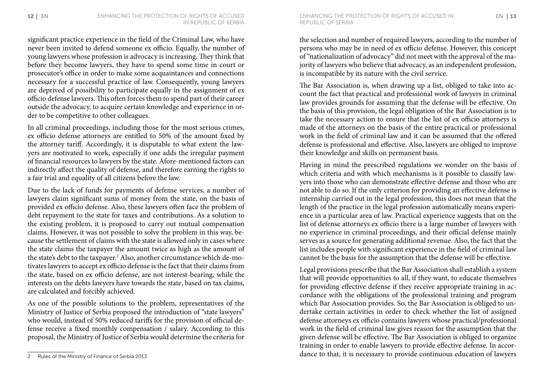significant practice experience in the field of the Criminal Law, who have never been invited to defend someone ex officio. Equally, the number of young lawyers whose profession is advocacy is increasing. They think that before they become lawyers, they have to spend some time in court or prosecutor's office in order to make some acquaintances and connections necessary for a successful practice of law. Consequently, young lawyers are deprived of possibility to participate equally in the assignment of ex officio defense lawyers. This often forces them to spend part of their career outside the advocacy, to acquire certain knowledge and experience in order to be competitive to other colleagues.

In all criminal proceedings, including those for the most serious crimes, ex officio defense attorneys are entitled to 50% of the amount fixed by the attorney tariff. Accordingly, it is disputable to what extent the lawyers are motivated to work, especially if one adds the irregular payment of financial resources to lawyers by the state. Afore-mentioned factors can indirectly affect the quality of defense, and therefore earning the rights to a fair trial and equality of all citizens before the law.

Due to the lack of funds for payments of defense services, a number of lawyers claim significant sums of money from the state, on the basis of provided ex officio defense. Also, these lawyers often face the problem of debt repayment to the state for taxes and contributions. As a solution to the existing problem, it is proposed to carry out mutual compensation claims. However, it was not possible to solve the problem in this way, because the settlement of claims with the state is allowed only in cases where the state claims the taxpayer the amount twice as high as the amount of the state's debt to the taxpayer.2 Also, another circumstance which de-motivates lawyers to accept ex officio defense is the fact that their claims from the state, based on ex officio defense, are not interest-bearing, while the interests on the debts lawyers have towards the state, based on tax claims, are calculated and forcibly achieved.

As one of the possible solutions to the problem, representatives of the Ministry of Justice of Serbia proposed the introduction of "state lawyers" who would, instead of 50% reduced tariffs for the provision of official defense receive a fixed monthly compensation / salary. According to this proposal, the Ministry of Justice of Serbia would determine the criteria for

**12** | EN ENHANCING THE PROTECTION OF RIGHTS OF ACCUSED in EN | **13** Republic of Serbia

> the selection and number of required lawyers, according to the number of persons who may be in need of ex officio defense. However, this concept of "nationalization of advocacy" did not meet with the approval of the majority of lawyers who believe that advocacy, as an independent profession, is incompatible by its nature with the civil service.

> The Bar Association is, when drawing up a list, obliged to take into account the fact that practical and professional work of lawyers in criminal law provides grounds for assuming that the defense will be effective. On the basis of this provision, the legal obligation of the Bar Association is to take the necessary action to ensure that the list of ex officio attorneys is made of the attorneys on the basis of the entire practical or professional work in the field of criminal law and it can be assumed that the offered defense is professional and effective. Also, lawyers are obliged to improve their knowledge and skills on permanent basis.

> Having in mind the prescribed regulations we wonder on the basis of which criteria and with which mechanisms is it possible to classify lawyers into those who can demonstrate effective defense and those who are not able to do so. If the only criterion for providing an effective defense is internship carried out in the legal profession, this does not mean that the length of the practice in the legal profession automatically means experience in a particular area of law. Practical experience suggests that on the list of defense attorneys ex officio there is a large number of lawyers with no experience in criminal proceedings, and their official defense mainly serves as a source for generating additional revenue. Also, the fact that the list includes people with significant experience in the field of criminal law cannot be the basis for the assumption that the defense will be effective.

> Legal provisions prescribe that the Bar Association shall establish a system that will provide opportunities to all, if they want, to educate themselves for providing effective defense if they receive appropriate training in accordance with the obligations of the professional training and program which Bar Association provides. So, the Bar Association is obliged to undertake certain activities in order to check whether the list of assigned defense attorneys ex officio contains lawyers whose practical/professional work in the field of criminal law gives reason for the assumption that the given defense will be effective. The Bar Association is obliged to organize training in order to enable lawyers to provide effective defense. In accordance to that, it is necessary to provide continuous education of lawyers

<sup>2</sup> Rules of the Ministry of Finance of Serbia 2013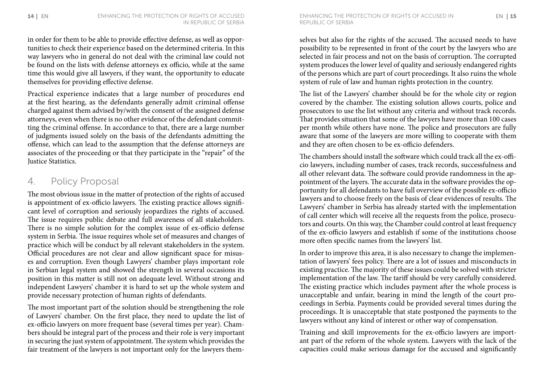in order for them to be able to provide effective defense, as well as opportunities to check their experience based on the determined criteria. In this way lawyers who in general do not deal with the criminal law could not be found on the lists with defense attorneys ex officio, while at the same time this would give all lawyers, if they want, the opportunity to educate themselves for providing effective defense.

Practical experience indicates that a large number of procedures end at the first hearing, as the defendants generally admit criminal offense charged against them advised by/with the consent of the assigned defense attorneys, even when there is no other evidence of the defendant committing the criminal offense. In accordance to that, there are a large number of judgments issued solely on the basis of the defendants admitting the offense, which can lead to the assumption that the defense attorneys are associates of the proceeding or that they participate in the "repair" of the Justice Statistics.

#### 4. Policy Proposal

The most obvious issue in the matter of protection of the rights of accused is appointment of ex-officio lawyers. The existing practice allows significant level of corruption and seriously jeopardizes the rights of accused. The issue requires public debate and full awareness of all stakeholders. There is no simple solution for the complex issue of ex-officio defense system in Serbia. The issue requires whole set of measures and changes of practice which will be conduct by all relevant stakeholders in the system. Official procedures are not clear and allow significant space for misuses and corruption. Even though Lawyers' chamber plays important role in Serbian legal system and showed the strength in several occasions its position in this matter is still not on adequate level. Without strong and independent Lawyers' chamber it is hard to set up the whole system and provide necessary protection of human rights of defendants.

The most important part of the solution should be strengthening the role of Lawyers' chamber. On the first place, they need to update the list of ex-officio lawyers on more frequent base (several times per year). Chambers should be integral part of the process and their role is very important in securing the just system of appointment. The system which provides the fair treatment of the lawyers is not important only for the lawyers them-

**14 |** ENhancing the protection of rights of accused in the protection of rights of accused in the **15** In 15 In Republic of Serbia

> selves but also for the rights of the accused. The accused needs to have possibility to be represented in front of the court by the lawyers who are selected in fair process and not on the basis of corruption. The corrupted system produces the lower level of quality and seriously endangered rights of the persons which are part of court proceedings. It also ruins the whole system of rule of law and human rights protection in the country.

> The list of the Lawyers' chamber should be for the whole city or region covered by the chamber. The existing solution allows courts, police and prosecutors to use the list without any criteria and without track records. That provides situation that some of the lawyers have more than 100 cases per month while others have none. The police and prosecutors are fully aware that some of the lawyers are more willing to cooperate with them and they are often chosen to be ex-officio defenders.

> The chambers should install the software which could track all the ex-officio lawyers, including number of cases, track records, successfulness and all other relevant data. The software could provide randomness in the appointment of the layers. The accurate data in the software provides the opportunity for all defendants to have full overview of the possible ex-officio lawyers and to choose freely on the basis of clear evidences of results. The Lawyers' chamber in Serbia has already started with the implementation of call center which will receive all the requests from the police, prosecutors and courts. On this way, the Chamber could control at least frequency of the ex-officio lawyers and establish if some of the institutions choose more often specific names from the lawyers' list.

> In order to improve this area, it is also necessary to change the implementation of lawyers' fees policy. There are a lot of issues and misconducts in existing practice. The majority of these issues could be solved with stricter implementation of the law. The tariff should be very carefully considered. The existing practice which includes payment after the whole process is unacceptable and unfair, bearing in mind the length of the court proceedings in Serbia. Payments could be provided several times during the proceedings. It is unacceptable that state postponed the payments to the lawyers without any kind of interest or other way of compensation.

> Training and skill improvements for the ex-officio lawyers are important part of the reform of the whole system. Lawyers with the lack of the capacities could make serious damage for the accused and significantly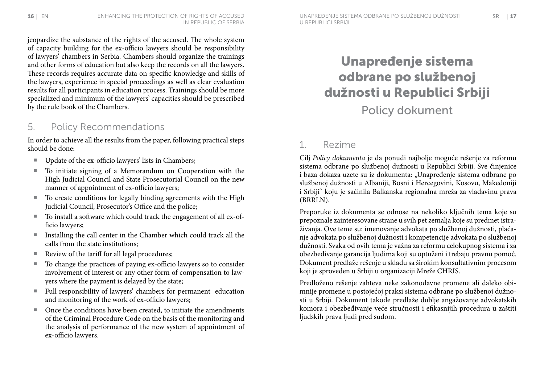jeopardize the substance of the rights of the accused. The whole system of capacity building for the ex-officio lawyers should be responsibility of lawyers' chambers in Serbia. Chambers should organize the trainings and other forms of education but also keep the records on all the lawyers. These records requires accurate data on specific knowledge and skills of the lawyers, experience in special proceedings as well as clear evaluation results for all participants in education process. Trainings should be more specialized and minimum of the lawyers' capacities should be prescribed by the rule book of the Chambers.

#### 5. Policy Recommendations

In order to achieve all the results from the paper, following practical steps should be done:

- Update of the ex-officio lawyers' lists in Chambers;
- To initiate signing of a Memorandum on Cooperation with the High Judicial Council and State Prosecutorial Council on the new manner of appointment of ex-officio lawyers;
- To create conditions for legally binding agreements with the High Judicial Council, Prosecutor's Office and the police;
- To install a software which could track the engagement of all ex-officio lawyers;
- Installing the call center in the Chamber which could track all the calls from the state institutions;
- Review of the tariff for all legal procedures;
- To change the practices of paying ex-officio lawyers so to consider involvement of interest or any other form of compensation to lawyers where the payment is delayed by the state;
- ¡ Full responsibility of lawyers' chambers for permanent education and monitoring of the work of ex-officio lawyers;
- Once the conditions have been created, to initiate the amendments of the Criminal Procedure Code on the basis of the monitoring and the analysis of performance of the new system of appointment of ex-officio lawyers.

# Unapređenje sistema odbrane po službenoj dužnosti u Republici Srbiji Policy dokument

### 1. Rezime

Cilj *Policy dokumenta* je da ponudi najbolje moguće rešenje za reformu sistema odbrane po službenoj dužnosti u Republici Srbiji. Sve činjenice i baza dokaza uzete su iz dokumenta: "Unapređenje sistema odbrane po službenoj dužnosti u Albaniji, Bosni i Hercegovini, Kosovu, Makedoniji i Srbiji" koju je sačinila Balkanska regionalna mreža za vladavinu prava (BRRLN).

Preporuke iz dokumenta se odnose na nekoliko ključnih tema koje su prepoznale zainteresovane strane u svih pet zemalja koje su predmet istraživanja. Ove teme su: imenovanje advokata po službenoj dužnosti, plaćanje advokata po službenoj dužnosti i kompetencije advokata po službenoj dužnosti. Svaka od ovih tema je važna za reformu celokupnog sistema i za obezbeđivanje garancija ljudima koji su optuženi i trebaju pravnu pomoć. Dokument predlaže rešenje u skladu sa širokim konsultativnim procesom koji je sproveden u Srbiji u organizaciji Mreže CHRIS.

Predloženo rešenje zahteva neke zakonodavne promene ali daleko obimnije promene u postojećoj praksi sistema odbrane po službenoj dužnosti u Srbiji. Dokument takođe predlaže dublje angažovanje advokatskih komora i obezbeđivanje veće stručnosti i efikasnijih procedura u zaštiti ljudskih prava ljudi pred sudom.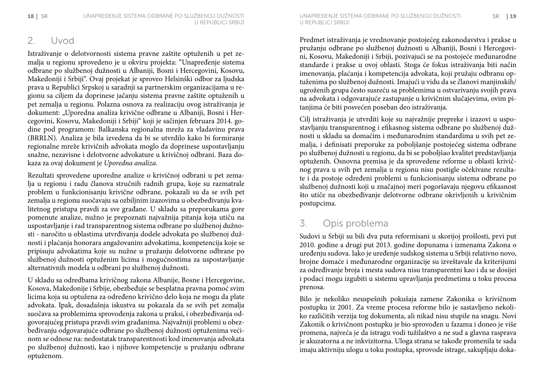### 2. Uvod

Istraživanje o delotvornosti sistema pravne zaštite optuženih u pet zemalja u regionu sprovedeno je u okviru projekta: "Unapređenje sistema odbrane po službenoj dužnosti u Albaniji, Bosni i Hercegovini, Kosovu, Makedoniji i Srbiji". Ovaj projekat je sproveo Helsinški odbor za ljudska prava u Republici Srpskoj u saradnji sa partnerskim organizacijama u regionu sa ciljem da doprinese jačanju sistema pravne zaštite optuženih u pet zemalja u regionu. Polazna osnova za realizaciju ovog istraživanja je dokument: "Uporedna analiza krivične odbrane u Albaniji, Bosni i Hercegovini, Kosovu, Makedoniji i Srbiji" koji je sačinjen februara 2014. godine pod programom: Balkanska regionalna mreža za vladavinu prava (BRRLN). Analiza je bila izvedena da bi se utvrdilo kako bi formiranje regionalne mreže krivičnih advokata moglo da doprinese uspostavljanju snažne, nezavisne i delotvorne advokature u krivičnoj odbrani. Baza dokaza za ovaj dokument je *Uporedna analiza*.

Rezultati sprovedene uporedne analize o krivičnoj odbrani u pet zemalja u regionu i radu članova stručnih radnih grupa, koje su razmatrale problem u funkcionisanju krivične odbrane, pokazali su da se svih pet zemalja u regionu suočavaju sa ozbiljnim izazovima u obezbeđivanju kvalitetnog pristupa pravdi za sve građane. U skladu sa preporukama gore pomenute analize, nužno je prepoznati najvažnija pitanja koja utiču na uspostavljanje i rad transparentnog sistema odbrane po službenoj dužnosti - naročito u oblastima utvrđivanja dodele advokata po službenoj dužnosti i plaćanja honorara angažovanim advokatima, kompetencija koje se pripisuju advokatima koje su nužne u pružanju delotvorne odbrane po službenoj dužnosti optuženim licima i mogućnostima za uspostavljanje alternativnih modela u odbrani po službenoj dužnosti.

U skladu sa odredbama krivičnog zakona Albanije, Bosne i Hercegovine, Kosova, Makedonije i Srbije, obezbeđuje se besplatna pravna pomoć svim licima koja su optužena za određeno krivično delo koja ne mogu da plate advokata. Ipak, dosadašnja iskustva su pokazala da se svih pet zemalja suočava sa problemima sprovođenja zakona u praksi, i obezbeđivanja odgovorajućeg pristupa pravdi svim građanima. Najvažniji problemi u obezbeđivanju odgovarajuće odbrane po službenoj dužnosti optuženima većinom se odnose na: nedostatak transparentnosti kod imenovanja advokata po službenoj dužnosti, kao i njihove kompetencije u pružanju odbrane optuženom.

Predmet istraživanja je vrednovanje postojećeg zakonodavstva i prakse u pružanju odbrane po službenoj dužnosti u Albaniji, Bosni i Hercegovini, Kosovu, Makedoniji i Srbiji, pozivajući se na postojeće međunarodne standarde i prakse u ovoj oblasti. Stoga će fokus istraživanja biti način imenovanja, plaćanja i kompetencija advokata, koji pružaju odbranu optuženima po službenoj dužnosti. Imajući u vidu da se članovi manjinskih/ ugroženih grupa često susreću sa problemima u ostvarivanju svojih prava na advokata i odgovarajuće zastupanje u krivičnim slučajevima, ovim pitanjima će biti posvećen poseban deo istraživanja.

Cilj istraživanja je utvrditi koje su najvažnije prepreke i izazovi u uspostavljanju transparentnog i efikasnog sistema odbrane po službenoj dužnosti u skladu sa domaćim i međunarodnim standardima u svih pet zemalja, i definisati preporuke za poboljšanje postojećeg sistema odbrane po službenoj dužnosti u regionu, da bi se poboljšao kvalitet predstavljanja optuženih. Osnovna premisa je da sprovedene reforme u oblasti krivičnog prava u svih pet zemalja u regionu nisu postigle očekivane rezultate i da postoje određeni problemi u funkcionisanju sistema odbrane po službenoj dužnosti koji u značajnoj meri pogoršavaju njegovu efikasnost što utiče na obezbeđivanje delotvorne odbrane okrivljenih u krivičnim postupcima.

### 3. Opis problema

Sudovi u Srbiji su bili dva puta reformisani u skorijoj prošlosti, prvi put 2010. godine a drugi put 2013. godine dopunama i izmenama Zakona o uređenju sudova. Iako je uređenje sudskog sistema u Srbiji relativno novo, brojne domaće i međunarodne organizacije su izveštavale da kriterijumi za određivanje broja i mesta sudova nisu transparentni kao i da se dosijei i podaci mogu izgubiti u sistemu upravljanja predmetima u toku procesa prenosa.

Bilo je nekoliko neuspešnih pokušaja zamene Zakonika o krivičnom postupku iz 2001. Za vreme procesa reforme bilo je sastavljeno nekoliko različitih verzija tog dokumenta, ali nikad nisu stupile na snagu. Novi Zakonik o krivičnom postupku je bio sprovođen u fazama i doneo je više promena, najveća je da istragu vodi tužilaštvo a ne sud a glavna rasprava je akuzatorna a ne inkvizitorna. Uloga strana se takođe promenila te sada imaju aktivniju ulogu u toku postupka, sprovode istrage, sakupljaju doka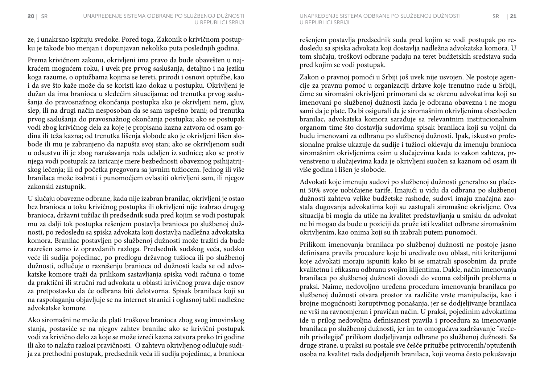ze, i unakrsno ispituju svedoke. Pored toga, Zakonik o krivičnom postupku je takođe bio menjan i dopunjavan nekoliko puta poslednjih godina.

Prema krivičnom zakonu, okrivljeni ima pravo da bude obavešten u najkraćem mogućem roku, i uvek pre prvog saslušanja, detaljno i na jeziku koga razume, o optužbama kojima se tereti, prirodi i osnovi optužbe, kao i da sve što kaže može da se koristi kao dokaz u postupku. Okrivljeni je dužan da ima branioca u sledećim situacijama: od trenutka prvog saslušanja do pravosnažnog okončanja postupka ako je okrivljeni nem, gluv, slep, ili na drugi način nesposoban da se sam uspešno brani; od trenutka prvog saslušanja do pravosnažnog okončanja postupka; ako se postupak vodi zbog krivičnog dela za koje je propisana kazna zatvora od osam godina ili teža kazna; od trenutka lišenja slobode ako je okrivljeni lišen slobode ili mu je zabranjeno da napušta svoj stan; ako se okrivljenom sudi u odsustvu ili je zbog narušavanja reda udaljen iz sudnice; ako se protiv njega vodi postupak za izricanje mere bezbednosti obaveznog psihijatrijskog lečenja; ili od početka pregovora sa javnim tužiocem. Jednog ili više branilaca može izabrati i punomoćjem ovlastiti okrivljeni sam, ili njegov zakonski zastupnik.

U slučaju obavezne odbrane, kada nije izabran branilac, okrivljeni je ostao bez branioca u toku krivičnog postupka ili okrivljeni nije izabrao drugog branioca, državni tužilac ili predsednik suda pred kojim se vodi postupak mu za dalji tok postupka rešenjem postavlja branioca po službenoj dužnosti, po redosledu sa spiska advokata koji dostavlja nadležna advokatska komora. Branilac postavljen po službenoj dužnosti može tražiti da bude razrešen samo iz opravdanih razloga. Predsednik sudskog veća, sudsko veće ili sudija pojedinac, po predlogu državnog tužioca ili po službenoj dužnosti, odlučuje o razrešenju branioca od dužnosti kada se od advokatske komore traži da prilikom sastavljanja spiska vodi računa o tome da praktični ili stručni rad advokata u oblasti krivičnog prava daje osnov za pretpostavku da će odbrana biti delotvorna. Spisak branilaca koji su na raspolaganju objavljuje se na internet stranici i oglasnoj tabli nadležne advokatske komore.

Ako siromašni ne može da plati troškove branioca zbog svog imovinskog stanja, postaviće se na njegov zahtev branilac ako se krivični postupak vodi za krivično delo za koje se može izreći kazna zatvora preko tri godine ili ako to nalažu razlozi pravičnosti. O zahtevu okrivljenog odlučuje sudija za prethodni postupak, predsednik veća ili sudija pojedinac, a branioca

20 SR Unapređenje sistema odbrane po službenoj dužnosti SR 21 Unapređenje sistema odbrane po službenoj dužnosti u Republici Srbiji

> rešenjem postavlja predsednik suda pred kojim se vodi postupak po redosledu sa spiska advokata koji dostavlja nadležna advokatska komora. U tom slučaju, troškovi odbrane padaju na teret budžetskih sredstava suda pred kojim se vodi postupak.

> Zakon o pravnoj pomoći u Srbiji još uvek nije usvojen. Ne postoje agencije za pravnu pomoć u organizaciji države koje trenutno rade u Srbiji, čime su siromašni okrivljeni primorani da se okrenu advokatima koji su imenovani po službenoj dužnosti kada je odbrana obavezna i ne mogu sami da je plate. Da bi osigurali da je siromašnim okrivljenima obezbeđen branilac, advokatska komora sarađuje sa relevantnim institucionalnim organom time što dostavlja sudovima spisak branilaca koji su voljni da budu imenovani za odbranu po službenoj dužnosti. Ipak, iskustvo profesionalne prakse ukazuje da sudije i tužioci oklevaju da imenuju branioca siromašnim okrivljenima osim u slučajevima kada to zakon zahteva, prvenstveno u slučajevima kada je okrivljeni suočen sa kaznom od osam ili više godina i lišen je slobode.

> Advokati koje imenuju sudovi po službenoj dužnosti generalno su plaćeni 50% svoje uobičajene tarife. Imajući u vidu da odbrana po službenoj dužnosti zahteva velike budžetske rashode, sudovi imaju značajna zaostala dugovanja advokatima koji su zastupali siromašne okrivljene. Ova situacija bi mogla da utiče na kvalitet predstavljanja u smislu da advokat ne bi mogao da bude u poziciji da pruže isti kvalitet odbrane siromašnim okrivljenim, kao onima koji su ih izabrali putem punomoći.

> Prilikom imenovanja branilaca po službenoj dužnosti ne postoje jasno definisana pravila procedure koje bi uređivale ovu oblast, niti kriterijumi koje advokati moraju ispuniti kako bi se smatrali sposobnim da pruže kvalitetnu i efikasnu odbranu svojim klijentima. Dakle, način imenovanja branilaca po službenoj dužnosti dovodi do veoma ozbiljnih problema u praksi. Naime, nedovoljno uređena procedura imenovanja branilaca po službenoj dužnosti otvara prostor za različite vrste manipulacija, kao i brojne mogućnosti koruptivnog ponašanja, jer se dodjeljivanje branilaca ne vrši na ravnomjeran i pravičan način. U praksi, pojedinim advokatima ide u prilog nedovoljna definisanost pravila i procedura za imenovanje branilaca po službenoj dužnosti, jer im to omogućava zadržavanje "stečenih privilegija" prilikom dodjeljivanja odbrane po službenoj dužnosti. Sa druge strane, u praksi su postale sve češće pritužbe pritvorenih/optuženih osoba na kvalitet rada dodjeljenih branilaca, koji veoma često pokušavaju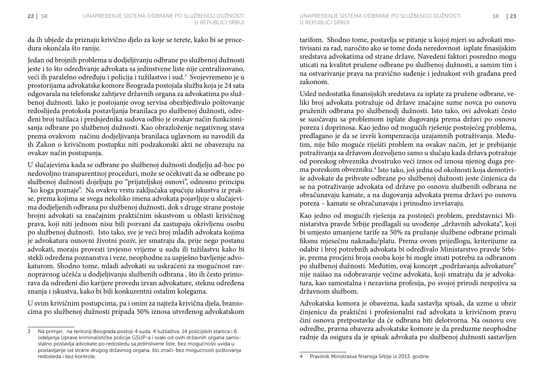da ih ubjede da priznaju krivično djelo za koje se terete, kako bi se procedura okončala što ranije.

Jedan od brojnih problema u dodjeljivanju odbrane po službenoj dužnosti jeste i to što određivanje advokata sa jedinstvene liste nije centralizovano, veći ih paralelno određuju i policija i tužilastvo i sud.<sup>3</sup> Svojevremeno je u prostorijama advokatske komore Beograda postojala služba koja je 24 sata odgovarala na telefonske zahtjeve državnih organa za advokatima po službenoj dužnosti. Iako je postojanje ovog servisa obezbjeđivalo poštovanje redoslijeda protokola postavljanja branilaca po službenoj dužnosti, određeni broj tužilaca i predsjednika sudova odbio je ovakav način funkcionisanja odbrane po službenoj dužnosti. Kao obrazloženje negativnog stava prema ovakvom načinu dodjeljivanja branilaca uglavnom su navodili da ih Zakon o krivičnom postupku niti podzakonski akti ne obavezuju na ovakav način postupanja.

U slučajevima kada se odbrane po službenoj dužnosti dodjelju ad-hoc po nedovoljno transparentnoj proceduri, može se očekivati da se odbrane po službenoj dužnosti dojeljuju po "prijateljskoj osnovi", odnosno principu "ko koga poznaje". Na ovakvu vrstu zaključaka upućuju iskustva iz prakse, prema kojima se svega nekoliko imena advokata pojavljuje u slučajevima dodjeljenih odbrana po službenoj dužnosti, dok s druge strane postoje brojni advokati sa značajnim praktičnim iskustvom u oblasti krivičnog prava, koji niti jednom nisu bili pozvani da zastupaju okrivljenu osobu po službenoj dužnosti. Isto tako, sve je veći broj mlađih advokata kojima je advokatura osnovni životni poziv, jer smatraju da, prije nego postanu advokati, moraju provesti izvjesno vrijeme u sudu ili tužilastvu kako bi stekli određena poznanstva i veze, neophodne za uspješno bavljenje advokaturom. Shodno tome, mladi advokati su uskraćeni za mogućnost ravnopravnog učešća u dodjeljivanju službenih odbrana , što ih često primorava da određeni dio karijere provedu izvan advokature, steknu određena znanja i iskustva, kako bi bili konkurentni ostalim kolegama.

U svim krivičnim postupcima, pa i onim za najteža krivična djela, braniocima po službenoj dužnosti pripada 50% iznosa utvrđenog advokatskom tarifom. Shodno tome, postavlja se pitanje u kojoj mjeri su advokati motivisani za rad, naročito ako se tome doda neredovnost isplate finasijskim sredstava advokatima od strane države. Navedeni faktori posredno mogu uticati na kvalitet pružene odbrane po službenoj dužnosti, a samim tim i na ostvarivanje prava na pravično suđenje i jednakost svih građana pred zakonom.

Usled nedostatka finansijskih sredstava za isplate za pružene odbrane, veliki broj advokata potražuje od države značajne sume novca po osnovu pruženih odbrana po službenodj dužnosti. Isto tako, ovi advokati često se suočavaju sa problemom isplate dugovanja prema državi po osnovu poreza i doprinosa. Kao jedno od mogućih rješenje postojećeg problema, predlagano je da se izvrši kompenzacija uzajamnih potraživanja. Međutim, nije bilo moguće riješiti problem na ovakav način, jer je prebijanje potraživanja sa državom dozvoljeno samo u slučaju kada država potražuje od poreskog obveznika dvostruko veći iznos od iznosa njenog duga prema poreskom obvezniku.4 Isto tako, još jedna od okolnosti koja demotiviše advokate da prihvate odbrane po službenoj dužnosti jeste činjenica da se na potraživanje advokata od države po osnovu službenih odbrana ne obračunavaju kamate, a na dugovanja advokata prema državi po osnovu poreza – kamate se obračunavaju i prinudno izvršavaju.

Kao jedno od mogućih rješenja za postojeći problem, predstavnici Ministarstva pravde Srbije predlagali su uvođenje "državnih advokata", koji bi umjesto umanjene tarife za 50% za pružanje službene odbrane primali fiksnu mjesečnu naknadu/platu. Prema ovom prijedlogu, kriterijume za odabir i broj potrebnih advokata bi određivalo Ministarstvo pravde Srbije, prema procjeni broja osoba koje bi mogle imati potrebu za odbranom po službenoj dužnosti. Međutim, ovaj koncept "podržavanja advokature" nije naišao na odobravanje većine advokata, koji smatraju da je advokatura, kao samostalna i nezavisna profesija, po svojoj prirodi nespojiva sa državnom službom.

Advokatska komora je obavezna, kada sastavlja spisak, da uzme u obzir činjenicu da praktični i profesionalni rad advokata u krivičnom pravu čini osnovu pretpostavke da će odbrana biti delotvorna. Na osnovu ove odredbe, pravna obaveza advokatske komore je da preduzme neophodne radnje da osigura da je spisak advokata po službenoj dužnosti sastavljen

<sup>3</sup> Na primjer, na teritoriji Beograda postoji 4 suda, 4 tužilaštva, 14 policijskih stanica i 6 odeljenja Uprave kriminalističke policije GSUP-a i svaki od ovih državnih organa samostalno postavlja advokate po redosledu sa jedinstvene liste, bez mogućnosti uvida u postavljanje od strane drugog državnog organa, što znači-bez mogućnosti poštovanja redosleda i bez kontrole.

<sup>4</sup> Pravilnik Ministrasva finansija Srbije iz 2013. godine.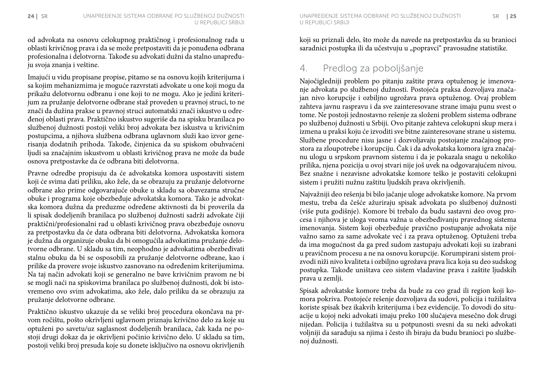od advokata na osnovu celokupnog praktičnog i profesionalnog rada u oblasti krivičnog prava i da se može pretpostaviti da je ponuđena odbrana profesionalna i delotvorna. Takođe su advokati dužni da stalno unapređuju svoja znanja i veštine.

Imajući u vidu propisane propise, pitamo se na osnovu kojih kriterijuma i sa kojim mehanizmima je moguće razvrstati advokate u one koji mogu da prikažu delotvornu odbranu i one koji to ne mogu. Ako je jedini kriterijum za pružanje delotvorne odbrane staž proveden u pravnoj struci, to ne znači da dužina prakse u pravnoj struci automatski znači iskustvo u određenoj oblasti prava. Praktično iskustvo sugeriše da na spisku branilaca po službenoj dužnosti postoji veliki broj advokata bez iskustva u krivičnim postupcima, a njihova službena odbrana uglavnom služi kao izvor generisanja dodatnih prihoda. Takođe, činjenica da su spiskom obuhvaćeni ljudi sa značajnim iskustvom u oblasti krivičnog prava ne može da bude osnova pretpostavke da će odbrana biti delotvorna.

Pravne odredbe propisuju da će advokatska komora uspostaviti sistem koji će svima dati priliku, ako žele, da se obrazuju za pružanje delotvorne odbrane ako prime odgovarajuće obuke u skladu sa obavezama stručne obuke i programa koje obezbeđuje advokatska komora. Tako je advokatska komora dužna da preduzme određene aktivnosti da bi proverila da li spisak dodeljenih branilaca po službenoj dužnosti sadrži advokate čiji praktični/profesionalni rad u oblasti krivičnog prava obezbeđuje osnovu za pretpostavku da će data odbrana biti delotvorna. Advokatska komora je dužna da organizuje obuku da bi omogućila advokatima pružanje delotvorne odbrane. U skladu sa tim, neophodno je advokatima obezbeđivati stalnu obuku da bi se osposobili za pružanje delotvorne odbrane, kao i prilike da provere svoje iskustvo zasnovano na određenim kriterijumima. Na taj način advokati koji se generalno ne bave krivičnim pravom ne bi se mogli naći na spiskovima branilaca po službenoj dužnosti, dok bi istovremeno ovo svim advokatima, ako žele, dalo priliku da se obrazuju za pružanje delotvorne odbrane.

Praktično iskustvo ukazuje da se veliki broj procedura okončava na prvom ročištu, pošto okrivljeni uglavnom priznaju krivično delo za koje su optuženi po savetu/uz saglasnost dodeljenih branilaca, čak kada ne postoji drugi dokaz da je okrivljeni počinio krivično delo. U skladu sa tim, postoji veliki broj presuda koje su donete isključivo na osnovu okrivljenih koji su priznali delo, što može da navede na pretpostavku da su branioci saradnici postupka ili da učestvuju u "popravci" pravosudne statistike.

### 4. Predlog za poboljšanje

Najočigledniji problem po pitanju zaštite prava optuženog je imenovanje advokata po službenoj dužnosti. Postojeća praksa dozvoljava značajan nivo korupcije i ozbiljno ugrožava prava optuženog. Ovaj problem zahteva javnu raspravu i da sve zainteresovane strane imaju punu svest o tome. Ne postoji jednostavno rešenje za složeni problem sistema odbrane po službenoj dužnosti u Srbiji. Ovo pitanje zahteva celokupni skup mera i izmena u praksi koju će izvoditi sve bitne zainteresovane strane u sistemu. Službene procedure nisu jasne i dozvoljavaju postojanje značajnog prostora za zloupotrebe i korupciju. Čak i da advokatska komora igra značajnu ulogu u srpskom pravnom sistemu i da je pokazala snagu u nekoliko prilika, njena pozicija u ovoj stvari nije još uvek na odgovarajućem nivou. Bez snažne i nezavisne advokatske komore teško je postaviti celokupni sistem i pružiti nužnu zaštitu ljudskih prava okrivljenih.

Najvažniji deo rešenja bi bilo jačanje uloge advokatske komore. Na prvom mestu, treba da češće ažuriraju spisak advokata po službenoj dužnosti (više puta godišnje). Komore bi trebalo da budu sastavni deo ovog procesa i njihova je uloga veoma važna u obezbeđivanju pravednog sistema imenovanja. Sistem koji obezbeđuje pravično postupanje advokata nije važno samo za same advokate već i za prava optuženog. Optuženi treba da ima mogućnost da ga pred sudom zastupaju advokati koji su izabrani u pravičnom procesu a ne na osnovu korupcije. Korumpirani sistem proizvodi niži nivo kvaliteta i ozbiljno ugrožava prava lica koja su deo sudskog postupka. Takođe uništava ceo sistem vladavine prava i zaštite ljudskih prava u zemlji.

Spisak advokatske komore treba da bude za ceo grad ili region koji komora pokriva. Postojeće rešenje dozvoljava da sudovi, policija i tužilaštva koriste spisak bez ikakvih kriterijuma i bez evidencije. To dovodi do situacije u kojoj neki advokati imaju preko 100 slučajeva mesečno dok drugi nijedan. Policija i tužilaštva su u potpunosti svesni da su neki advokati voljniji da sarađuju sa njima i često ih biraju da budu branioci po službenoj dužnosti.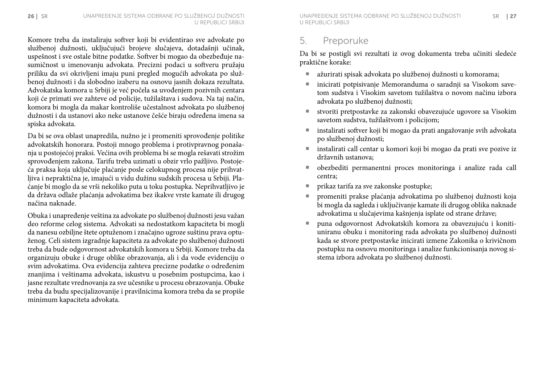Komore treba da instaliraju softver koji bi evidentirao sve advokate po službenoj dužnosti, uključujući brojeve slučajeva, dotadašnji učinak, uspešnost i sve ostale bitne podatke. Softver bi mogao da obezbeđuje nasumičnost u imenovanju advokata. Precizni podaci u softveru pružaju priliku da svi okrivljeni imaju puni pregled mogućih advokata po službenoj dužnosti i da slobodno izaberu na osnovu jasnih dokaza rezultata. Advokatska komora u Srbiji je već počela sa uvođenjem pozivnih centara koji će primati sve zahteve od policije, tužilaštava i sudova. Na taj način, komora bi mogla da makar kontroliše učestalnost advokata po službenoj dužnosti i da ustanovi ako neke ustanove češće biraju određena imena sa spiska advokata.

Da bi se ova oblast unapredila, nužno je i promeniti sprovođenje politike advokatskih honorara. Postoji mnogo problema i protivpravnog ponašanja u postojećoj praksi. Većina ovih problema bi se mogla rešavati strožim sprovođenjem zakona. Tarifu treba uzimati u obzir vrlo pažljivo. Postojeća praksa koja uključuje plaćanje posle celokupnog procesa nije prihvatljiva i nepraktična je, imajući u vidu dužinu sudskih procesa u Srbiji. Plaćanje bi moglo da se vrši nekoliko puta u toku postupka. Neprihvatljivo je da država odlaže plaćanja advokatima bez ikakve vrste kamate ili drugog načina naknade.

Obuka i unapređenje veština za advokate po službenoj dužnosti jesu važan deo reforme celog sistema. Advokati sa nedostatkom kapaciteta bi mogli da nanesu ozbiljne štete optuženom i značajno ugroze suštinu prava optuženog. Celi sistem izgradnje kapaciteta za advokate po službenoj dužnosti treba da bude odgovornost advokatskih komora u Srbiji. Komore treba da organizuju obuke i druge oblike obrazovanja, ali i da vode evidenciju o svim advokatima. Ova evidencija zahteva precizne podatke o određenim znanjima i veštinama advokata, iskustvu u posebnim postupcima, kao i jasne rezultate vrednovanja za sve učesnike u procesu obrazovanja. Obuke treba da budu specijalizovanije i pravilnicima komora treba da se propiše minimum kapaciteta advokata.

#### 5. Preporuke

Da bi se postigli svi rezultati iz ovog dokumenta treba učiniti sledeće praktične korake:

- ¡ ažurirati spisak advokata po službenoj dužnosti u komorama;
- ¡ inicirati potpisivanje Memoranduma o saradnji sa Visokom savetom sudstva i Visokim savetom tužilaštva o novom načinu izbora advokata po službenoj dužnosti;
- stvoriti pretpostavke za zakonski obavezujuće ugovore sa Visokim savetom sudstva, tužilaštvom i policijom;
- instalirati softver koji bi mogao da prati angažovanje svih advokata po službenoj dužnosti;
- ¡ instalirati call centar u komori koji bi mogao da prati sve pozive iz državnih ustanova;
- ¡ obezbediti permanentni proces monitoringa i analize rada call centra;
- prikaz tarifa za sve zakonske postupke;
- ¡ promeniti prakse plaćanja advokatima po službenoj dužnosti koja bi mogla da sagleda i uključivanje kamate ili drugog oblika naknade advokatima u slučajevima kašnjenja isplate od strane države;
- ¡ puna odgovornost Advokatskih komora za obavezujuću i konitiuniranu obuku i monitoring rada advokata po službenoj dužnosti kada se stvore pretpostavke inicirati izmene Zakonika o krivičnom postupku na osnovu monitoringa i analize funkcionisanja novog sistema izbora advokata po službenoj dužnosti.